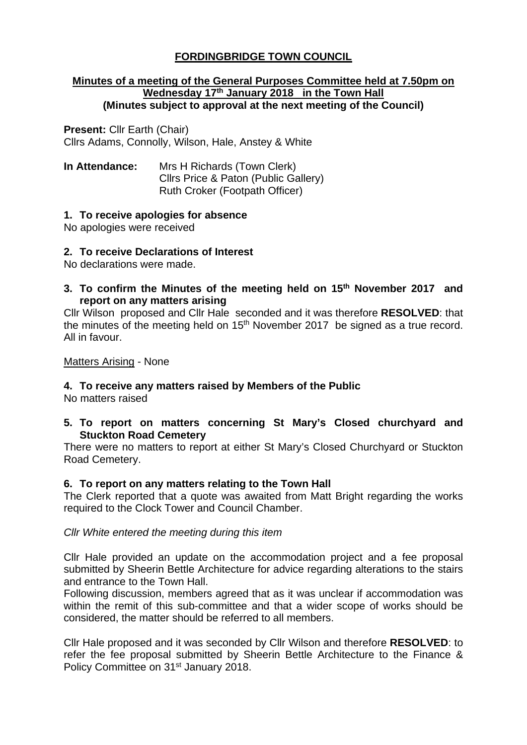# **FORDINGBRIDGE TOWN COUNCIL**

#### **Minutes of a meeting of the General Purposes Committee held at 7.50pm on Wednesday 17th January 2018 in the Town Hall (Minutes subject to approval at the next meeting of the Council)**

**Present:** Cllr Earth (Chair) Cllrs Adams, Connolly, Wilson, Hale, Anstey & White

**In Attendance:** Mrs H Richards (Town Clerk) Cllrs Price & Paton (Public Gallery) Ruth Croker (Footpath Officer)

# **1. To receive apologies for absence**

No apologies were received

# **2. To receive Declarations of Interest**

No declarations were made.

**3. To confirm the Minutes of the meeting held on 15th November 2017 and report on any matters arising**

Cllr Wilson proposed and Cllr Hale seconded and it was therefore **RESOLVED**: that the minutes of the meeting held on  $15<sup>th</sup>$  November 2017 be signed as a true record. All in favour.

## Matters Arising - None

## **4. To receive any matters raised by Members of the Public**

No matters raised

# **5. To report on matters concerning St Mary's Closed churchyard and Stuckton Road Cemetery**

There were no matters to report at either St Mary's Closed Churchyard or Stuckton Road Cemetery.

## **6. To report on any matters relating to the Town Hall**

The Clerk reported that a quote was awaited from Matt Bright regarding the works required to the Clock Tower and Council Chamber.

*Cllr White entered the meeting during this item*

Cllr Hale provided an update on the accommodation project and a fee proposal submitted by Sheerin Bettle Architecture for advice regarding alterations to the stairs and entrance to the Town Hall.

Following discussion, members agreed that as it was unclear if accommodation was within the remit of this sub-committee and that a wider scope of works should be considered, the matter should be referred to all members.

Cllr Hale proposed and it was seconded by Cllr Wilson and therefore **RESOLVED**: to refer the fee proposal submitted by Sheerin Bettle Architecture to the Finance & Policy Committee on 31<sup>st</sup> January 2018.